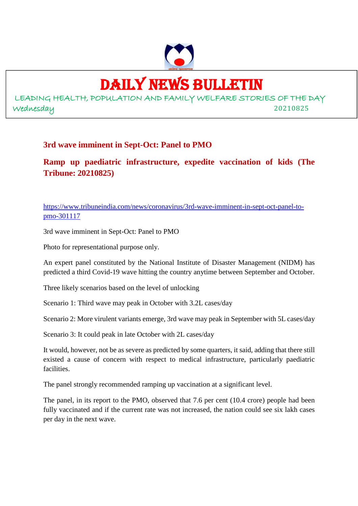

## DAILY NEWS BULLETIN

LEADING HEALTH, POPULATION AND FAMILY WELFARE STORIES OF THE DAY Wednesday 20210825

## **3rd wave imminent in Sept-Oct: Panel to PMO**

**Ramp up paediatric infrastructure, expedite vaccination of kids (The Tribune: 20210825)**

https://www.tribuneindia.com/news/coronavirus/3rd-wave-imminent-in-sept-oct-panel-topmo-301117

3rd wave imminent in Sept-Oct: Panel to PMO

Photo for representational purpose only.

An expert panel constituted by the National Institute of Disaster Management (NIDM) has predicted a third Covid-19 wave hitting the country anytime between September and October.

Three likely scenarios based on the level of unlocking

Scenario 1: Third wave may peak in October with 3.2L cases/day

Scenario 2: More virulent variants emerge, 3rd wave may peak in September with 5L cases/day

Scenario 3: It could peak in late October with 2L cases/day

It would, however, not be as severe as predicted by some quarters, it said, adding that there still existed a cause of concern with respect to medical infrastructure, particularly paediatric facilities.

The panel strongly recommended ramping up vaccination at a significant level.

The panel, in its report to the PMO, observed that 7.6 per cent (10.4 crore) people had been fully vaccinated and if the current rate was not increased, the nation could see six lakh cases per day in the next wave.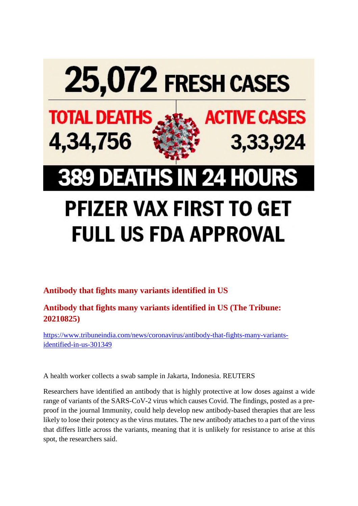

## **Antibody that fights many variants identified in US**

**Antibody that fights many variants identified in US (The Tribune: 20210825)**

https://www.tribuneindia.com/news/coronavirus/antibody-that-fights-many-variantsidentified-in-us-301349

A health worker collects a swab sample in Jakarta, Indonesia. REUTERS

Researchers have identified an antibody that is highly protective at low doses against a wide range of variants of the SARS-CoV-2 virus which causes Covid. The findings, posted as a preproof in the journal Immunity, could help develop new antibody-based therapies that are less likely to lose their potency as the virus mutates. The new antibody attaches to a part of the virus that differs little across the variants, meaning that it is unlikely for resistance to arise at this spot, the researchers said.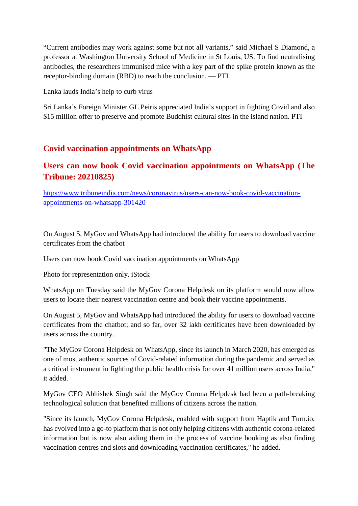"Current antibodies may work against some but not all variants," said Michael S Diamond, a professor at Washington University School of Medicine in St Louis, US. To find neutralising antibodies, the researchers immunised mice with a key part of the spike protein known as the receptor-binding domain (RBD) to reach the conclusion. — PTI

Lanka lauds India's help to curb virus

Sri Lanka's Foreign Minister GL Peiris appreciated India's support in fighting Covid and also \$15 million offer to preserve and promote Buddhist cultural sites in the island nation. PTI

#### **Covid vaccination appointments on WhatsApp**

## **Users can now book Covid vaccination appointments on WhatsApp (The Tribune: 20210825)**

https://www.tribuneindia.com/news/coronavirus/users-can-now-book-covid-vaccinationappointments-on-whatsapp-301420

On August 5, MyGov and WhatsApp had introduced the ability for users to download vaccine certificates from the chatbot

Users can now book Covid vaccination appointments on WhatsApp

Photo for representation only. iStock

WhatsApp on Tuesday said the MyGov Corona Helpdesk on its platform would now allow users to locate their nearest vaccination centre and book their vaccine appointments.

On August 5, MyGov and WhatsApp had introduced the ability for users to download vaccine certificates from the chatbot; and so far, over 32 lakh certificates have been downloaded by users across the country.

"The MyGov Corona Helpdesk on WhatsApp, since its launch in March 2020, has emerged as one of most authentic sources of Covid-related information during the pandemic and served as a critical instrument in fighting the public health crisis for over 41 million users across India," it added.

MyGov CEO Abhishek Singh said the MyGov Corona Helpdesk had been a path-breaking technological solution that benefited millions of citizens across the nation.

"Since its launch, MyGov Corona Helpdesk, enabled with support from Haptik and Turn.io, has evolved into a go-to platform that is not only helping citizens with authentic corona-related information but is now also aiding them in the process of vaccine booking as also finding vaccination centres and slots and downloading vaccination certificates," he added.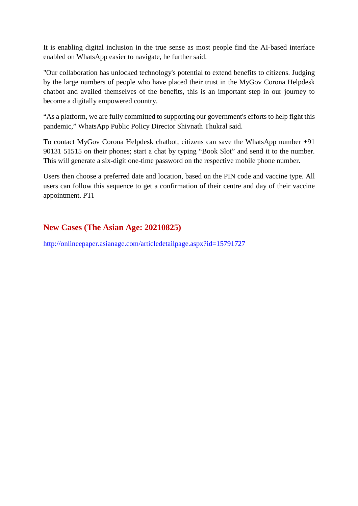It is enabling digital inclusion in the true sense as most people find the AI-based interface enabled on WhatsApp easier to navigate, he further said.

"Our collaboration has unlocked technology's potential to extend benefits to citizens. Judging by the large numbers of people who have placed their trust in the MyGov Corona Helpdesk chatbot and availed themselves of the benefits, this is an important step in our journey to become a digitally empowered country.

"As a platform, we are fully committed to supporting our government's efforts to help fight this pandemic," WhatsApp Public Policy Director Shivnath Thukral said.

To contact MyGov Corona Helpdesk chatbot, citizens can save the WhatsApp number +91 90131 51515 on their phones; start a chat by typing "Book Slot" and send it to the number. This will generate a six-digit one-time password on the respective mobile phone number.

Users then choose a preferred date and location, based on the PIN code and vaccine type. All users can follow this sequence to get a confirmation of their centre and day of their vaccine appointment. PTI

## **New Cases (The Asian Age: 20210825)**

http://onlineepaper.asianage.com/articledetailpage.aspx?id=15791727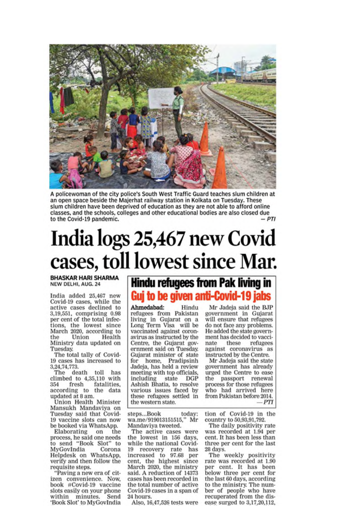

A policewoman of the city police's South West Traffic Guard teaches slum children at an open space beside the Majerhat railway station in Kolkata on Tuesday. These slum children have been deprived of education as they are not able to afford online classes, and the schools, colleges and other educational bodies are also closed due  $-PTI$ to the Covid-19 pandemic.

# India logs 25,467 new Covid cases, toll lowest since Mar.

**BHASKAR HARI SHARMA** NEW DELHI, AUG. 24

India added 25,467 new Covid-19 cases, while the active cases declined to 3,19,551, comprising 0.98 per cent of the total infections, the lowest since March 2020, according to the Union Health Ministry data updated on **Tuesday.** 

The total tally of Covid-19 cases has increased to 3,24,74,773.

The death toll has climbed to 4,35,110 with fresh fatalities. 354 according to the data updated at 8 am.

Union Health Minister Mansukh Mandaviya on Tuesday said that Covid-19 vaccine slots can now be booked via WhatsApp.

Elaborating on the process, he said one needs<br>to send "Book Slot" to MyGovIndia Corona Helpdesk on WhatsApp,<br>verify and then follow the requisite steps.

"Paving a new era of citizen convenience. Now, book #Covid-19 vaccine slots easily on your phone within minutes. Send 'Book Slot' to MyGovIndia

## **Hindu refugees from Pak living in** Guj to be given anti-Covid-19 jabs

Ahmedabad: Hindu refugees from Pakistan living in Gujarat on a Long Term Visa will be vaccinated against coronavirus as instructed by the Centre, the Gujarat government said on Tuesday. Gujarat minister of state for home, Pradipsinh<br>Jadeja, has held a review meeting with top officials, **DGP** including state Ashish Bhatia, to resolve various issues faced by these refugees settled in the western state.

steps...Book today: wa.me/919013151515." Mr Mandaviva tweeted.

The active cases were the lowest in 156 days. while the national Covid-19 recovery rate has<br>increased to 97.68 per<br>cent, the highest since March 2020, the ministry said. A reduction of 14373 cases has been recorded in the total number of active Covid-19 cases in a span of 24 hours.

Also, 16,47,526 tests were

Mr Jadeja said the BJP government in Gujarat<br>will ensure that refugees do not face any problems. He added the state government has decided to vaccinate these refugees against coronavirus as instructed by the Centre.

Mr Jadeja said the state government has already urged the Centre to ease the passport renewal process for those refugees who had arrived here from Pakistan before 2014. - PTI

tion of Covid-19 in the country to 50,93,91,792.

The daily positivity rate was recorded at 1.94 per cent. It has been less than three per cent for the last 28 days.

The weekly positivity rate was recorded at 1.90 per cent. It has been below three per cent for the last 60 days, according<br>to the ministry. The number of people who have recuperated from the disease surged to 3,17,20,112,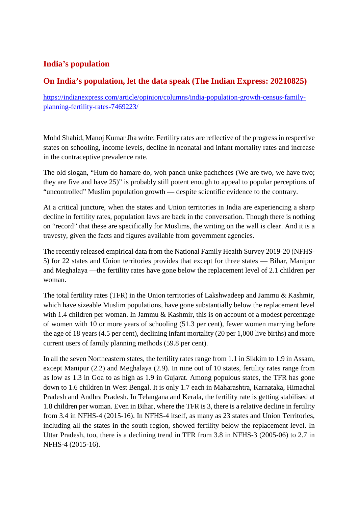## **India's population**

## **On India's population, let the data speak (The Indian Express: 20210825)**

https://indianexpress.com/article/opinion/columns/india-population-growth-census-familyplanning-fertility-rates-7469223/

Mohd Shahid, Manoj Kumar Jha write: Fertility rates are reflective of the progress in respective states on schooling, income levels, decline in neonatal and infant mortality rates and increase in the contraceptive prevalence rate.

The old slogan, "Hum do hamare do, woh panch unke pachchees (We are two, we have two; they are five and have 25)" is probably still potent enough to appeal to popular perceptions of "uncontrolled" Muslim population growth — despite scientific evidence to the contrary.

At a critical juncture, when the states and Union territories in India are experiencing a sharp decline in fertility rates, population laws are back in the conversation. Though there is nothing on "record" that these are specifically for Muslims, the writing on the wall is clear. And it is a travesty, given the facts and figures available from government agencies.

The recently released empirical data from the National Family Health Survey 2019-20 (NFHS-5) for 22 states and Union territories provides that except for three states — Bihar, Manipur and Meghalaya —the fertility rates have gone below the replacement level of 2.1 children per woman.

The total fertility rates (TFR) in the Union territories of Lakshwadeep and Jammu & Kashmir, which have sizeable Muslim populations, have gone substantially below the replacement level with 1.4 children per woman. In Jammu & Kashmir, this is on account of a modest percentage of women with 10 or more years of schooling (51.3 per cent), fewer women marrying before the age of 18 years (4.5 per cent), declining infant mortality (20 per 1,000 live births) and more current users of family planning methods (59.8 per cent).

In all the seven Northeastern states, the fertility rates range from 1.1 in Sikkim to 1.9 in Assam, except Manipur (2.2) and Meghalaya (2.9). In nine out of 10 states, fertility rates range from as low as 1.3 in Goa to as high as 1.9 in Gujarat. Among populous states, the TFR has gone down to 1.6 children in West Bengal. It is only 1.7 each in Maharashtra, Karnataka, Himachal Pradesh and Andhra Pradesh. In Telangana and Kerala, the fertility rate is getting stabilised at 1.8 children per woman. Even in Bihar, where the TFR is 3, there is a relative decline in fertility from 3.4 in NFHS-4 (2015-16). In NFHS-4 itself, as many as 23 states and Union Territories, including all the states in the south region, showed fertility below the replacement level. In Uttar Pradesh, too, there is a declining trend in TFR from 3.8 in NFHS-3 (2005-06) to 2.7 in NFHS-4 (2015-16).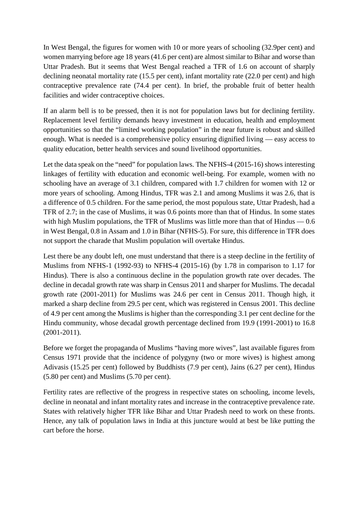In West Bengal, the figures for women with 10 or more years of schooling (32.9per cent) and women marrying before age 18 years (41.6 per cent) are almost similar to Bihar and worse than Uttar Pradesh. But it seems that West Bengal reached a TFR of 1.6 on account of sharply declining neonatal mortality rate (15.5 per cent), infant mortality rate (22.0 per cent) and high contraceptive prevalence rate (74.4 per cent). In brief, the probable fruit of better health facilities and wider contraceptive choices.

If an alarm bell is to be pressed, then it is not for population laws but for declining fertility. Replacement level fertility demands heavy investment in education, health and employment opportunities so that the "limited working population" in the near future is robust and skilled enough. What is needed is a comprehensive policy ensuring dignified living — easy access to quality education, better health services and sound livelihood opportunities.

Let the data speak on the "need" for population laws. The NFHS-4 (2015-16) shows interesting linkages of fertility with education and economic well-being. For example, women with no schooling have an average of 3.1 children, compared with 1.7 children for women with 12 or more years of schooling. Among Hindus, TFR was 2.1 and among Muslims it was 2.6, that is a difference of 0.5 children. For the same period, the most populous state, Uttar Pradesh, had a TFR of 2.7; in the case of Muslims, it was 0.6 points more than that of Hindus. In some states with high Muslim populations, the TFR of Muslims was little more than that of Hindus — 0.6 in West Bengal, 0.8 in Assam and 1.0 in Bihar (NFHS-5). For sure, this difference in TFR does not support the charade that Muslim population will overtake Hindus.

Lest there be any doubt left, one must understand that there is a steep decline in the fertility of Muslims from NFHS-1 (1992-93) to NFHS-4 (2015-16) (by 1.78 in comparison to 1.17 for Hindus). There is also a continuous decline in the population growth rate over decades. The decline in decadal growth rate was sharp in Census 2011 and sharper for Muslims. The decadal growth rate (2001-2011) for Muslims was 24.6 per cent in Census 2011. Though high, it marked a sharp decline from 29.5 per cent, which was registered in Census 2001. This decline of 4.9 per cent among the Muslims is higher than the corresponding 3.1 per cent decline for the Hindu community, whose decadal growth percentage declined from 19.9 (1991-2001) to 16.8 (2001-2011).

Before we forget the propaganda of Muslims "having more wives", last available figures from Census 1971 provide that the incidence of polygyny (two or more wives) is highest among Adivasis (15.25 per cent) followed by Buddhists (7.9 per cent), Jains (6.27 per cent), Hindus (5.80 per cent) and Muslims (5.70 per cent).

Fertility rates are reflective of the progress in respective states on schooling, income levels, decline in neonatal and infant mortality rates and increase in the contraceptive prevalence rate. States with relatively higher TFR like Bihar and Uttar Pradesh need to work on these fronts. Hence, any talk of population laws in India at this juncture would at best be like putting the cart before the horse.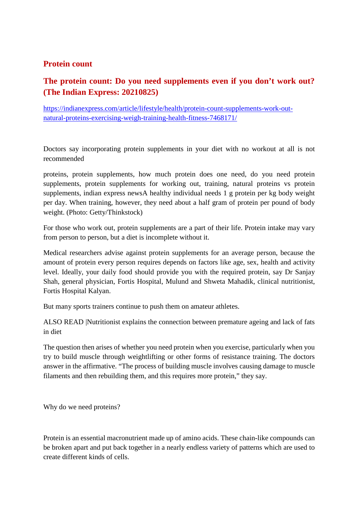#### **Protein count**

## **The protein count: Do you need supplements even if you don't work out? (The Indian Express: 20210825)**

https://indianexpress.com/article/lifestyle/health/protein-count-supplements-work-outnatural-proteins-exercising-weigh-training-health-fitness-7468171/

Doctors say incorporating protein supplements in your diet with no workout at all is not recommended

proteins, protein supplements, how much protein does one need, do you need protein supplements, protein supplements for working out, training, natural proteins vs protein supplements, indian express newsA healthy individual needs 1 g protein per kg body weight per day. When training, however, they need about a half gram of protein per pound of body weight. (Photo: Getty/Thinkstock)

For those who work out, protein supplements are a part of their life. Protein intake may vary from person to person, but a diet is incomplete without it.

Medical researchers advise against protein supplements for an average person, because the amount of protein every person requires depends on factors like age, sex, health and activity level. Ideally, your daily food should provide you with the required protein, say Dr Sanjay Shah, general physician, Fortis Hospital, Mulund and Shweta Mahadik, clinical nutritionist, Fortis Hospital Kalyan.

But many sports trainers continue to push them on amateur athletes.

ALSO READ |Nutritionist explains the connection between premature ageing and lack of fats in diet

The question then arises of whether you need protein when you exercise, particularly when you try to build muscle through weightlifting or other forms of resistance training. The doctors answer in the affirmative. "The process of building muscle involves causing damage to muscle filaments and then rebuilding them, and this requires more protein," they say.

Why do we need proteins?

Protein is an essential macronutrient made up of amino acids. These chain-like compounds can be broken apart and put back together in a nearly endless variety of patterns which are used to create different kinds of cells.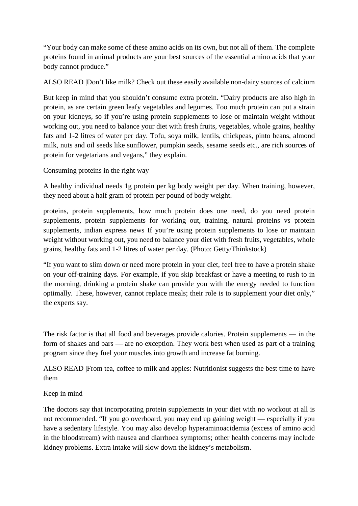"Your body can make some of these amino acids on its own, but not all of them. The complete proteins found in animal products are your best sources of the essential amino acids that your body cannot produce."

ALSO READ |Don't like milk? Check out these easily available non-dairy sources of calcium

But keep in mind that you shouldn't consume extra protein. "Dairy products are also high in protein, as are certain green leafy vegetables and legumes. Too much protein can put a strain on your kidneys, so if you're using protein supplements to lose or maintain weight without working out, you need to balance your diet with fresh fruits, vegetables, whole grains, healthy fats and 1-2 litres of water per day. Tofu, soya milk, lentils, chickpeas, pinto beans, almond milk, nuts and oil seeds like sunflower, pumpkin seeds, sesame seeds etc., are rich sources of protein for vegetarians and vegans," they explain.

Consuming proteins in the right way

A healthy individual needs 1g protein per kg body weight per day. When training, however, they need about a half gram of protein per pound of body weight.

proteins, protein supplements, how much protein does one need, do you need protein supplements, protein supplements for working out, training, natural proteins vs protein supplements, indian express news If you're using protein supplements to lose or maintain weight without working out, you need to balance your diet with fresh fruits, vegetables, whole grains, healthy fats and 1-2 litres of water per day. (Photo: Getty/Thinkstock)

"If you want to slim down or need more protein in your diet, feel free to have a protein shake on your off-training days. For example, if you skip breakfast or have a meeting to rush to in the morning, drinking a protein shake can provide you with the energy needed to function optimally. These, however, cannot replace meals; their role is to supplement your diet only," the experts say.

The risk factor is that all food and beverages provide calories. Protein supplements — in the form of shakes and bars — are no exception. They work best when used as part of a training program since they fuel your muscles into growth and increase fat burning.

ALSO READ |From tea, coffee to milk and apples: Nutritionist suggests the best time to have them

Keep in mind

The doctors say that incorporating protein supplements in your diet with no workout at all is not recommended. "If you go overboard, you may end up gaining weight — especially if you have a sedentary lifestyle. You may also develop hyperaminoacidemia (excess of amino acid in the bloodstream) with nausea and diarrhoea symptoms; other health concerns may include kidney problems. Extra intake will slow down the kidney's metabolism.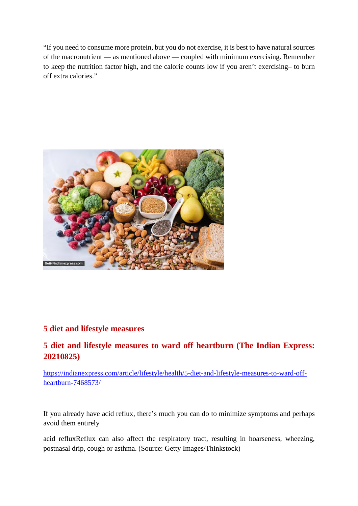"If you need to consume more protein, but you do not exercise, it is best to have natural sources of the macronutrient — as mentioned above — coupled with minimum exercising. Remember to keep the nutrition factor high, and the calorie counts low if you aren't exercising– to burn off extra calories."



#### **5 diet and lifestyle measures**

## **5 diet and lifestyle measures to ward off heartburn (The Indian Express: 20210825)**

https://indianexpress.com/article/lifestyle/health/5-diet-and-lifestyle-measures-to-ward-offheartburn-7468573/

If you already have acid reflux, there's much you can do to minimize symptoms and perhaps avoid them entirely

acid refluxReflux can also affect the respiratory tract, resulting in hoarseness, wheezing, postnasal drip, cough or asthma. (Source: Getty Images/Thinkstock)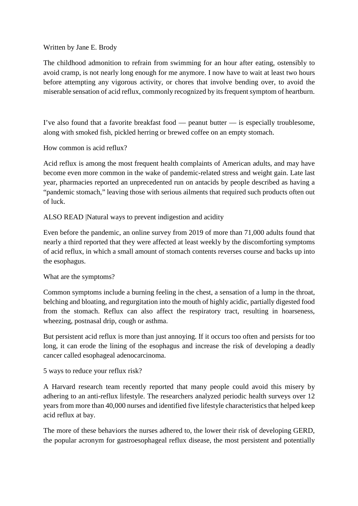#### Written by Jane E. Brody

The childhood admonition to refrain from swimming for an hour after eating, ostensibly to avoid cramp, is not nearly long enough for me anymore. I now have to wait at least two hours before attempting any vigorous activity, or chores that involve bending over, to avoid the miserable sensation of acid reflux, commonly recognized by its frequent symptom of heartburn.

I've also found that a favorite breakfast food — peanut butter — is especially troublesome, along with smoked fish, pickled herring or brewed coffee on an empty stomach.

How common is acid reflux?

Acid reflux is among the most frequent health complaints of American adults, and may have become even more common in the wake of pandemic-related stress and weight gain. Late last year, pharmacies reported an unprecedented run on antacids by people described as having a "pandemic stomach," leaving those with serious ailments that required such products often out of luck.

#### ALSO READ |Natural ways to prevent indigestion and acidity

Even before the pandemic, an online survey from 2019 of more than 71,000 adults found that nearly a third reported that they were affected at least weekly by the discomforting symptoms of acid reflux, in which a small amount of stomach contents reverses course and backs up into the esophagus.

#### What are the symptoms?

Common symptoms include a burning feeling in the chest, a sensation of a lump in the throat, belching and bloating, and regurgitation into the mouth of highly acidic, partially digested food from the stomach. Reflux can also affect the respiratory tract, resulting in hoarseness, wheezing, postnasal drip, cough or asthma.

But persistent acid reflux is more than just annoying. If it occurs too often and persists for too long, it can erode the lining of the esophagus and increase the risk of developing a deadly cancer called esophageal adenocarcinoma.

5 ways to reduce your reflux risk?

A Harvard research team recently reported that many people could avoid this misery by adhering to an anti-reflux lifestyle. The researchers analyzed periodic health surveys over 12 years from more than 40,000 nurses and identified five lifestyle characteristics that helped keep acid reflux at bay.

The more of these behaviors the nurses adhered to, the lower their risk of developing GERD, the popular acronym for gastroesophageal reflux disease, the most persistent and potentially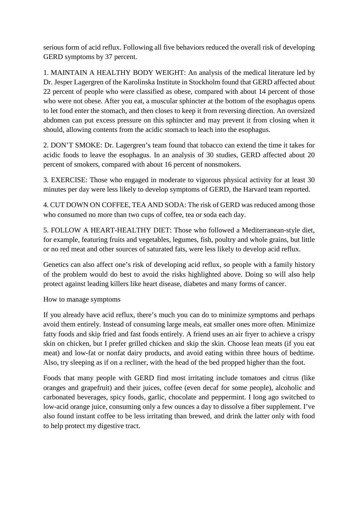serious form of acid reflux. Following all five behaviors reduced the overall risk of developing GERD symptoms by 37 percent.

1. MAINTAIN A HEALTHY BODY WEIGHT: An analysis of the medical literature led by Dr. Jesper Lagergren of the Karolinska Institute in Stockholm found that GERD affected about 22 percent of people who were classified as obese, compared with about 14 percent of those who were not obese. After you eat, a muscular sphincter at the bottom of the esophagus opens to let food enter the stomach, and then closes to keep it from reversing direction. An oversized abdomen can put excess pressure on this sphincter and may prevent it from closing when it should, allowing contents from the acidic stomach to leach into the esophagus.

2. DON'T SMOKE: Dr. Lagergren's team found that tobacco can extend the time it takes for acidic foods to leave the esophagus. In an analysis of 30 studies, GERD affected about 20 percent of smokers, compared with about 16 percent of nonsmokers.

3. EXERCISE: Those who engaged in moderate to vigorous physical activity for at least 30 minutes per day were less likely to develop symptoms of GERD, the Harvard team reported.

4. CUT DOWN ON COFFEE, TEA AND SODA: The risk of GERD was reduced among those who consumed no more than two cups of coffee, tea or soda each day.

5. FOLLOW A HEART-HEALTHY DIET: Those who followed a Mediterranean-style diet, for example, featuring fruits and vegetables, legumes, fish, poultry and whole grains, but little or no red meat and other sources of saturated fats, were less likely to develop acid reflux.

Genetics can also affect one's risk of developing acid reflux, so people with a family history of the problem would do best to avoid the risks highlighted above. Doing so will also help protect against leading killers like heart disease, diabetes and many forms of cancer.

How to manage symptoms

If you already have acid reflux, there's much you can do to minimize symptoms and perhaps avoid them entirely. Instead of consuming large meals, eat smaller ones more often. Minimize fatty foods and skip fried and fast foods entirely. A friend uses an air fryer to achieve a crispy skin on chicken, but I prefer grilled chicken and skip the skin. Choose lean meats (if you eat meat) and low-fat or nonfat dairy products, and avoid eating within three hours of bedtime. Also, try sleeping as if on a recliner, with the head of the bed propped higher than the foot.

Foods that many people with GERD find most irritating include tomatoes and citrus (like oranges and grapefruit) and their juices, coffee (even decaf for some people), alcoholic and carbonated beverages, spicy foods, garlic, chocolate and peppermint. I long ago switched to low-acid orange juice, consuming only a few ounces a day to dissolve a fiber supplement. I've also found instant coffee to be less irritating than brewed, and drink the latter only with food to help protect my digestive tract.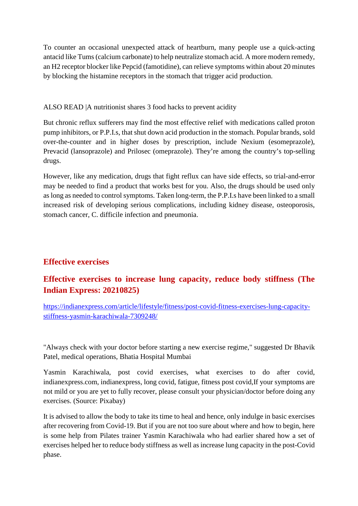To counter an occasional unexpected attack of heartburn, many people use a quick-acting antacid like Tums (calcium carbonate) to help neutralize stomach acid. A more modern remedy, an H2 receptor blocker like Pepcid (famotidine), can relieve symptoms within about 20 minutes by blocking the histamine receptors in the stomach that trigger acid production.

ALSO READ |A nutritionist shares 3 food hacks to prevent acidity

But chronic reflux sufferers may find the most effective relief with medications called proton pump inhibitors, or P.P.I.s, that shut down acid production in the stomach. Popular brands, sold over-the-counter and in higher doses by prescription, include Nexium (esomeprazole), Prevacid (lansoprazole) and Prilosec (omeprazole). They're among the country's top-selling drugs.

However, like any medication, drugs that fight reflux can have side effects, so trial-and-error may be needed to find a product that works best for you. Also, the drugs should be used only as long as needed to control symptoms. Taken long-term, the P.P.I.s have been linked to a small increased risk of developing serious complications, including kidney disease, osteoporosis, stomach cancer, C. difficile infection and pneumonia.

## **Effective exercises**

## **Effective exercises to increase lung capacity, reduce body stiffness (The Indian Express: 20210825)**

https://indianexpress.com/article/lifestyle/fitness/post-covid-fitness-exercises-lung-capacitystiffness-yasmin-karachiwala-7309248/

"Always check with your doctor before starting a new exercise regime," suggested Dr Bhavik Patel, medical operations, Bhatia Hospital Mumbai

Yasmin Karachiwala, post covid exercises, what exercises to do after covid, indianexpress.com, indianexpress, long covid, fatigue, fitness post covid,If your symptoms are not mild or you are yet to fully recover, please consult your physician/doctor before doing any exercises. (Source: Pixabay)

It is advised to allow the body to take its time to heal and hence, only indulge in basic exercises after recovering from Covid-19. But if you are not too sure about where and how to begin, here is some help from Pilates trainer Yasmin Karachiwala who had earlier shared how a set of exercises helped her to reduce body stiffness as well as increase lung capacity in the post-Covid phase.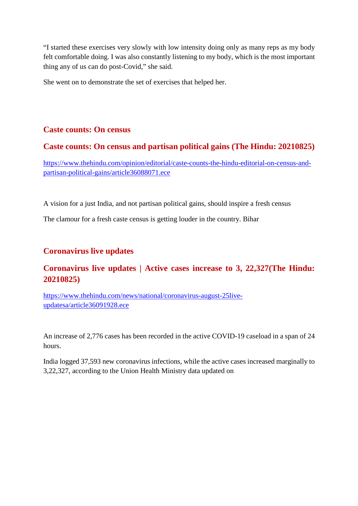"I started these exercises very slowly with low intensity doing only as many reps as my body felt comfortable doing. I was also constantly listening to my body, which is the most important thing any of us can do post-Covid," she said.

She went on to demonstrate the set of exercises that helped her.

#### **Caste counts: On census**

### **Caste counts: On census and partisan political gains (The Hindu: 20210825)**

https://www.thehindu.com/opinion/editorial/caste-counts-the-hindu-editorial-on-census-andpartisan-political-gains/article36088071.ece

A vision for a just India, and not partisan political gains, should inspire a fresh census

The clamour for a fresh caste census is getting louder in the country. Bihar

#### **Coronavirus live updates**

## **Coronavirus live updates | Active cases increase to 3, 22,327(The Hindu: 20210825)**

https://www.thehindu.com/news/national/coronavirus-august-25liveupdatesa/article36091928.ece

An increase of 2,776 cases has been recorded in the active COVID-19 caseload in a span of 24 hours.

India logged 37,593 new coronavirus infections, while the active cases increased marginally to 3,22,327, according to the Union Health Ministry data updated on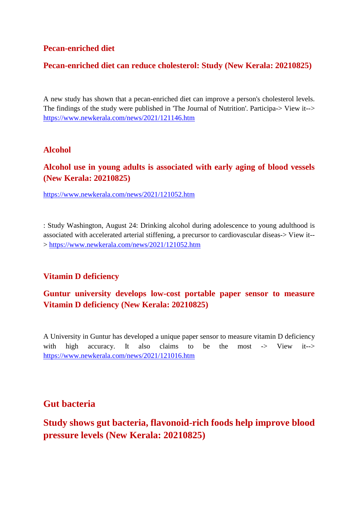#### **Pecan-enriched diet**

#### **Pecan-enriched diet can reduce cholesterol: Study (New Kerala: 20210825)**

A new study has shown that a pecan-enriched diet can improve a person's cholesterol levels. The findings of the study were published in 'The Journal of Nutrition'. Participa-> View it--> https://www.newkerala.com/news/2021/121146.htm

#### **Alcohol**

#### **Alcohol use in young adults is associated with early aging of blood vessels (New Kerala: 20210825)**

https://www.newkerala.com/news/2021/121052.htm

: Study Washington, August 24: Drinking alcohol during adolescence to young adulthood is associated with accelerated arterial stiffening, a precursor to cardiovascular diseas-> View it-- > https://www.newkerala.com/news/2021/121052.htm

#### **Vitamin D deficiency**

## **Guntur university develops low-cost portable paper sensor to measure Vitamin D deficiency (New Kerala: 20210825)**

A University in Guntur has developed a unique paper sensor to measure vitamin D deficiency with high accuracy. It also claims to be the most -> View it--> https://www.newkerala.com/news/2021/121016.htm

#### **Gut bacteria**

## **Study shows gut bacteria, flavonoid-rich foods help improve blood pressure levels (New Kerala: 20210825)**